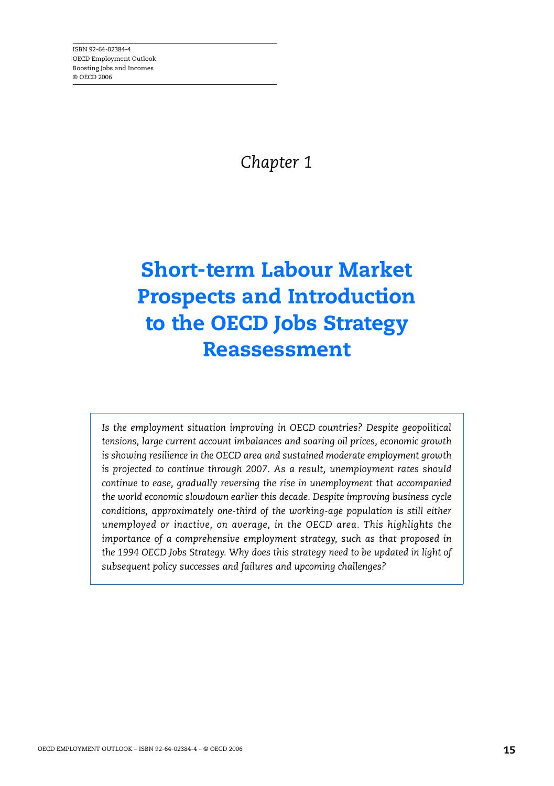*Chapter 1* 

# **Short-term Labour Market Prospects and Introduction to the OECD Jobs Strategy Reassessment**

*Is the employment situation improving in OECD countries? Despite geopolitical tensions, large current account imbalances and soaring oil prices, economic growth is showing resilience in the OECD area and sustained moderate employment growth is projected to continue through 2007. As a result, unemployment rates should continue to ease, gradually reversing the rise in unemployment that accompanied the world economic slowdown earlier this decade. Despite improving business cycle conditions, approximately one-third of the working-age population is still either unemployed or inactive, on average, in the OECD area. This highlights the importance of a comprehensive employment strategy, such as that proposed in the 1994 OECD Jobs Strategy. Why does this strategy need to be updated in light of subsequent policy successes and failures and upcoming challenges?*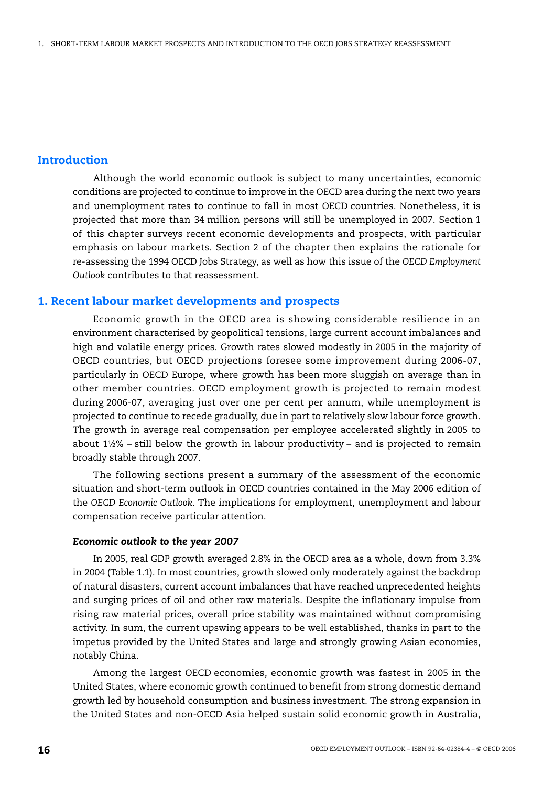## **Introduction**

Although the world economic outlook is subject to many uncertainties, economic conditions are projected to continue to improve in the OECD area during the next two years and unemployment rates to continue to fall in most OECD countries. Nonetheless, it is projected that more than 34 million persons will still be unemployed in 2007. Section 1 of this chapter surveys recent economic developments and prospects, with particular emphasis on labour markets. Section 2 of the chapter then explains the rationale for re-assessing the 1994 OECD Jobs Strategy, as well as how this issue of the *OECD Employment Outlook* contributes to that reassessment.

## **1. Recent labour market developments and prospects**

Economic growth in the OECD area is showing considerable resilience in an environment characterised by geopolitical tensions, large current account imbalances and high and volatile energy prices. Growth rates slowed modestly in 2005 in the majority of OECD countries, but OECD projections foresee some improvement during 2006-07, particularly in OECD Europe, where growth has been more sluggish on average than in other member countries. OECD employment growth is projected to remain modest during 2006-07, averaging just over one per cent per annum, while unemployment is projected to continue to recede gradually, due in part to relatively slow labour force growth. The growth in average real compensation per employee accelerated slightly in 2005 to about  $1\frac{1}{2}\%$  – still below the growth in labour productivity – and is projected to remain broadly stable through 2007.

The following sections present a summary of the assessment of the economic situation and short-term outlook in OECD countries contained in the May 2006 edition of the *OECD Economic Outlook*. The implications for employment, unemployment and labour compensation receive particular attention.

#### *Economic outlook to the year 2007*

In 2005, real GDP growth averaged 2.8% in the OECD area as a whole, down from 3.3% in 2004 (Table 1.1). In most countries, growth slowed only moderately against the backdrop of natural disasters, current account imbalances that have reached unprecedented heights and surging prices of oil and other raw materials. Despite the inflationary impulse from rising raw material prices, overall price stability was maintained without compromising activity. In sum, the current upswing appears to be well established, thanks in part to the impetus provided by the United States and large and strongly growing Asian economies, notably China.

Among the largest OECD economies, economic growth was fastest in 2005 in the United States, where economic growth continued to benefit from strong domestic demand growth led by household consumption and business investment. The strong expansion in the United States and non-OECD Asia helped sustain solid economic growth in Australia,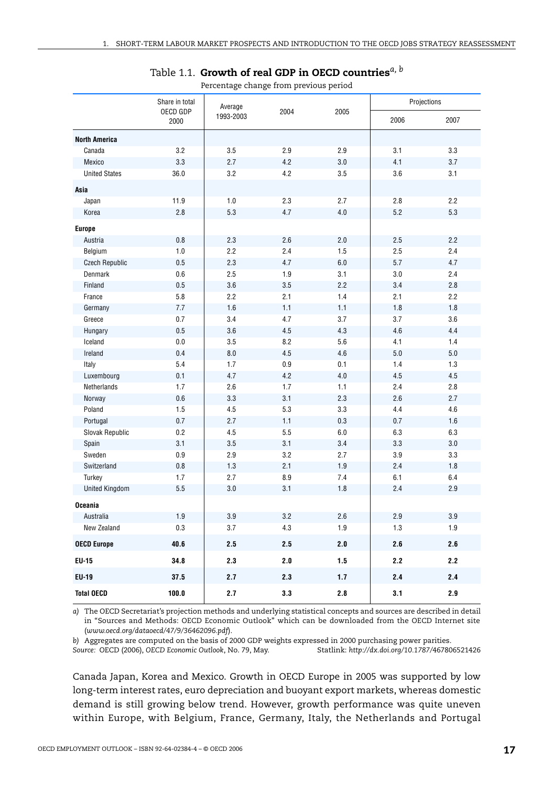|                       | Share in total   | Average   |      |      | Projections |      |  |
|-----------------------|------------------|-----------|------|------|-------------|------|--|
|                       | OECD GDP<br>2000 | 1993-2003 | 2004 | 2005 | 2006        | 2007 |  |
| <b>North America</b>  |                  |           |      |      |             |      |  |
| Canada                | 3.2              | 3.5       | 2.9  | 2.9  | 3.1         | 3.3  |  |
| Mexico                | 3.3              | 2.7       | 4.2  | 3.0  | 4.1         | 3.7  |  |
| <b>United States</b>  | 36.0             | 3.2       | 4.2  | 3.5  | 3.6         | 3.1  |  |
| Asia                  |                  |           |      |      |             |      |  |
| Japan                 | 11.9             | 1.0       | 2.3  | 2.7  | 2.8         | 2.2  |  |
| Korea                 | 2.8              | 5.3       | 4.7  | 4.0  | 5.2         | 5.3  |  |
| <b>Europe</b>         |                  |           |      |      |             |      |  |
| Austria               | 0.8              | 2.3       | 2.6  | 2.0  | 2.5         | 2.2  |  |
| Belgium               | 1.0              | 2.2       | 2.4  | 1.5  | 2.5         | 2.4  |  |
| <b>Czech Republic</b> | 0.5              | 2.3       | 4.7  | 6.0  | 5.7         | 4.7  |  |
| Denmark               | 0.6              | 2.5       | 1.9  | 3.1  | 3.0         | 2.4  |  |
| Finland               | 0.5              | 3.6       | 3.5  | 2.2  | 3.4         | 2.8  |  |
| France                | 5.8              | 2.2       | 2.1  | 1.4  | 2.1         | 2.2  |  |
| Germany               | 7.7              | 1.6       | 1.1  | 1.1  | 1.8         | 1.8  |  |
| Greece                | 0.7              | 3.4       | 4.7  | 3.7  | 3.7         | 3.6  |  |
| Hungary               | 0.5              | 3.6       | 4.5  | 4.3  | 4.6         | 4.4  |  |
| Iceland               | 0.0              | 3.5       | 8.2  | 5.6  | 4.1         | 1.4  |  |
| Ireland               | 0.4              | 8.0       | 4.5  | 4.6  | 5.0         | 5.0  |  |
| Italy                 | 5.4              | 1.7       | 0.9  | 0.1  | 1.4         | 1.3  |  |
| Luxembourg            | 0.1              | 4.7       | 4.2  | 4.0  | 4.5         | 4.5  |  |
| Netherlands           | 1.7              | 2.6       | 1.7  | 1.1  | 2.4         | 2.8  |  |
| Norway                | 0.6              | 3.3       | 3.1  | 2.3  | 2.6         | 2.7  |  |
| Poland                | 1.5              | 4.5       | 5.3  | 3.3  | 4.4         | 4.6  |  |
| Portugal              | 0.7              | 2.7       | 1.1  | 0.3  | 0.7         | 1.6  |  |
| Slovak Republic       | 0.2              | 4.5       | 5.5  | 6.0  | 6.3         | 6.3  |  |
| Spain                 | 3.1              | 3.5       | 3.1  | 3.4  | 3.3         | 3.0  |  |
| Sweden                | 0.9              | 2.9       | 3.2  | 2.7  | 3.9         | 3.3  |  |
| Switzerland           | 0.8              | 1.3       | 2.1  | 1.9  | 2.4         | 1.8  |  |
| Turkey                | 1.7              | 2.7       | 8.9  | 7.4  | 6.1         | 6.4  |  |
| <b>United Kingdom</b> | 5.5              | 3.0       | 3.1  | 1.8  | 2.4         | 2.9  |  |
| <b>Oceania</b>        |                  |           |      |      |             |      |  |
| Australia             | 1.9              | 3.9       | 3.2  | 2.6  | 2.9         | 3.9  |  |
| New Zealand           | 0.3              | 3.7       | 4.3  | 1.9  | 1.3         | 1.9  |  |
| <b>OECD Europe</b>    | 40.6             | 2.5       | 2.5  | 2.0  | 2.6         | 2.6  |  |
| <b>EU-15</b>          | 34.8             | 2.3       | 2.0  | 1.5  | 2.2         | 2.2  |  |
| <b>EU-19</b>          | 37.5             | 2.7       | 2.3  | 1.7  | 2.4         | 2.4  |  |
| <b>Total OECD</b>     | 100.0            | 2.7       | 3.3  | 2.8  | 3.1         | 2.9  |  |

# Table 1.1. **Growth of real GDP in OECD countries***a, b*

Percentage change from previous period

*a)* The OECD Secretariat's projection methods and underlying statistical concepts and sources are described in detail in "Sources and Methods: OECD Economic Outlook" which can be downloaded from the OECD Internet site (*www.oecd.org/dataoecd/47/9/36462096.pdf*).

*b)* Aggregates are computed on the basis of 2000 GDP weights expressed in 2000 purchasing power parities.

*Source:* OECD (2006), *OECD Economic Outlook*, No. 79, May. Statlink: *http://dx.doi.org/10.1787/*467806521426

Canada Japan, Korea and Mexico. Growth in OECD Europe in 2005 was supported by low long-term interest rates, euro depreciation and buoyant export markets, whereas domestic demand is still growing below trend. However, growth performance was quite uneven within Europe, with Belgium, France, Germany, Italy, the Netherlands and Portugal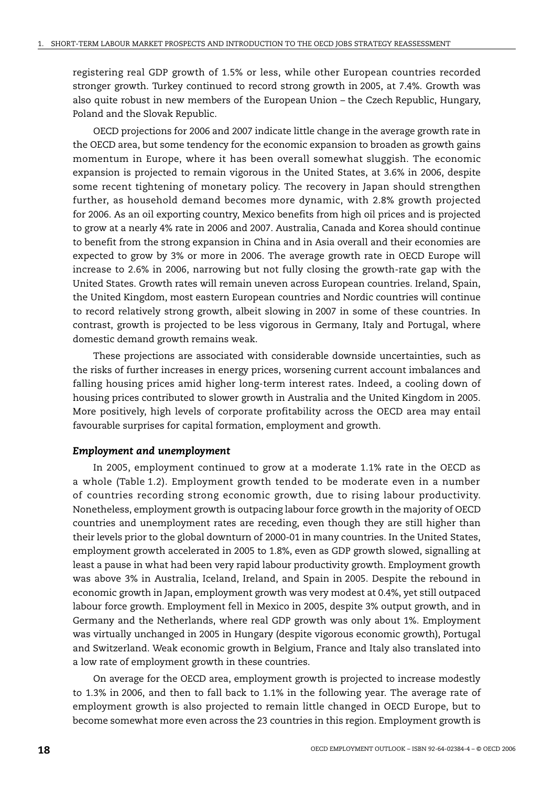registering real GDP growth of 1.5% or less, while other European countries recorded stronger growth. Turkey continued to record strong growth in 2005, at 7.4%. Growth was also quite robust in new members of the European Union – the Czech Republic, Hungary, Poland and the Slovak Republic.

OECD projections for 2006 and 2007 indicate little change in the average growth rate in the OECD area, but some tendency for the economic expansion to broaden as growth gains momentum in Europe, where it has been overall somewhat sluggish. The economic expansion is projected to remain vigorous in the United States, at 3.6% in 2006, despite some recent tightening of monetary policy. The recovery in Japan should strengthen further, as household demand becomes more dynamic, with 2.8% growth projected for 2006. As an oil exporting country, Mexico benefits from high oil prices and is projected to grow at a nearly 4% rate in 2006 and 2007. Australia, Canada and Korea should continue to benefit from the strong expansion in China and in Asia overall and their economies are expected to grow by 3% or more in 2006. The average growth rate in OECD Europe will increase to 2.6% in 2006, narrowing but not fully closing the growth-rate gap with the United States. Growth rates will remain uneven across European countries. Ireland, Spain, the United Kingdom, most eastern European countries and Nordic countries will continue to record relatively strong growth, albeit slowing in 2007 in some of these countries. In contrast, growth is projected to be less vigorous in Germany, Italy and Portugal, where domestic demand growth remains weak.

These projections are associated with considerable downside uncertainties, such as the risks of further increases in energy prices, worsening current account imbalances and falling housing prices amid higher long-term interest rates. Indeed, a cooling down of housing prices contributed to slower growth in Australia and the United Kingdom in 2005. More positively, high levels of corporate profitability across the OECD area may entail favourable surprises for capital formation, employment and growth.

## *Employment and unemployment*

In 2005, employment continued to grow at a moderate 1.1% rate in the OECD as a whole (Table 1.2). Employment growth tended to be moderate even in a number of countries recording strong economic growth, due to rising labour productivity. Nonetheless, employment growth is outpacing labour force growth in the majority of OECD countries and unemployment rates are receding, even though they are still higher than their levels prior to the global downturn of 2000-01 in many countries. In the United States, employment growth accelerated in 2005 to 1.8%, even as GDP growth slowed, signalling at least a pause in what had been very rapid labour productivity growth. Employment growth was above 3% in Australia, Iceland, Ireland, and Spain in 2005. Despite the rebound in economic growth in Japan, employment growth was very modest at 0.4%, yet still outpaced labour force growth. Employment fell in Mexico in 2005, despite 3% output growth, and in Germany and the Netherlands, where real GDP growth was only about 1%. Employment was virtually unchanged in 2005 in Hungary (despite vigorous economic growth), Portugal and Switzerland. Weak economic growth in Belgium, France and Italy also translated into a low rate of employment growth in these countries.

On average for the OECD area, employment growth is projected to increase modestly to 1.3% in 2006, and then to fall back to 1.1% in the following year. The average rate of employment growth is also projected to remain little changed in OECD Europe, but to become somewhat more even across the 23 countries in this region. Employment growth is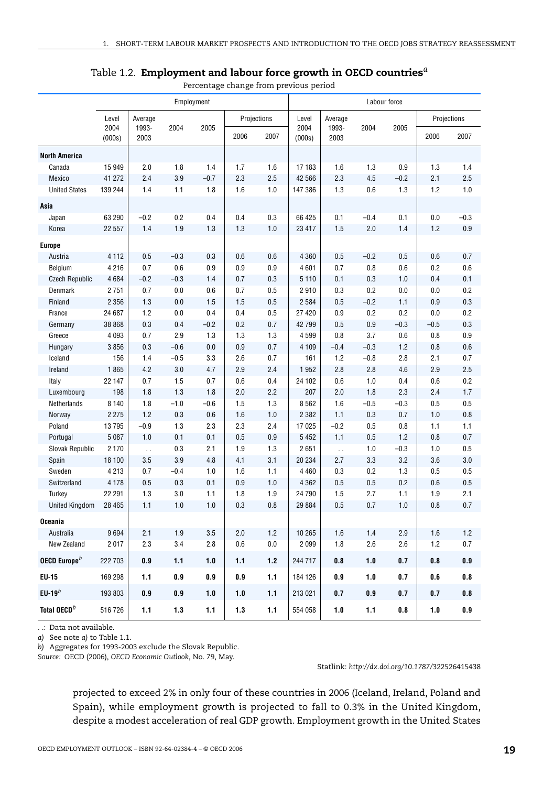|                         | Employment              |                          |        |        |             | Labour force |                |               |        |        |             |        |
|-------------------------|-------------------------|--------------------------|--------|--------|-------------|--------------|----------------|---------------|--------|--------|-------------|--------|
|                         | Level<br>2004<br>(000s) | Average<br>1993-<br>2003 | 2004   | 2005   | Projections |              | Level          | Average       |        |        | Projections |        |
|                         |                         |                          |        |        | 2006        | 2007         | 2004<br>(000s) | 1993-<br>2003 | 2004   | 2005   | 2006        | 2007   |
| <b>North America</b>    |                         |                          |        |        |             |              |                |               |        |        |             |        |
| Canada                  | 15 949                  | 2.0                      | 1.8    | 1.4    | 1.7         | 1.6          | 17 183         | 1.6           | 1.3    | 0.9    | 1.3         | 1.4    |
| Mexico                  | 41 272                  | 2.4                      | 3.9    | $-0.7$ | 2.3         | 2.5          | 42 566         | 2.3           | 4.5    | $-0.2$ | 2.1         | 2.5    |
| <b>United States</b>    | 139 244                 | 1.4                      | 1.1    | 1.8    | 1.6         | 1.0          | 147 386        | 1.3           | 0.6    | 1.3    | 1.2         | 1.0    |
| Asia                    |                         |                          |        |        |             |              |                |               |        |        |             |        |
| Japan                   | 63 290                  | $-0.2$                   | 0.2    | 0.4    | 0.4         | 0.3          | 66 425         | 0.1           | $-0.4$ | 0.1    | 0.0         | $-0.3$ |
| Korea                   | 22 557                  | 1.4                      | 1.9    | 1.3    | 1.3         | 1.0          | 23 417         | 1.5           | 2.0    | 1.4    | 1.2         | 0.9    |
| <b>Europe</b>           |                         |                          |        |        |             |              |                |               |        |        |             |        |
| Austria                 | 4 1 1 2                 | 0.5                      | $-0.3$ | 0.3    | 0.6         | 0.6          | 4 3 6 0        | 0.5           | $-0.2$ | 0.5    | 0.6         | 0.7    |
| Belgium                 | 4 2 1 6                 | 0.7                      | 0.6    | 0.9    | 0.9         | 0.9          | 4601           | 0.7           | 0.8    | 0.6    | 0.2         | 0.6    |
| <b>Czech Republic</b>   | 4 6 8 4                 | $-0.2$                   | $-0.3$ | 1.4    | 0.7         | 0.3          | 5 1 1 0        | 0.1           | 0.3    | 1.0    | 0.4         | 0.1    |
| Denmark                 | 2751                    | 0.7                      | 0.0    | 0.6    | 0.7         | 0.5          | 2910           | 0.3           | 0.2    | 0.0    | 0.0         | 0.2    |
| Finland                 | 2 3 5 6                 | 1.3                      | 0.0    | 1.5    | 1.5         | 0.5          | 2 5 8 4        | 0.5           | $-0.2$ | 1.1    | 0.9         | 0.3    |
| France                  | 24 687                  | 1.2                      | 0.0    | 0.4    | 0.4         | 0.5          | 27 4 20        | 0.9           | 0.2    | 0.2    | 0.0         | 0.2    |
| Germany                 | 38 868                  | 0.3                      | 0.4    | $-0.2$ | 0.2         | 0.7          | 42 799         | 0.5           | 0.9    | $-0.3$ | $-0.5$      | 0.3    |
| Greece                  | 4 0 9 3                 | 0.7                      | 2.9    | 1.3    | 1.3         | 1.3          | 4599           | 0.8           | 3.7    | 0.6    | 0.8         | 0.9    |
| Hungary                 | 3 8 5 6                 | 0.3                      | $-0.6$ | 0.0    | 0.9         | 0.7          | 4 1 0 9        | $-0.4$        | $-0.3$ | 1.2    | 0.8         | 0.6    |
| Iceland                 | 156                     | 1.4                      | $-0.5$ | 3.3    | 2.6         | 0.7          | 161            | 1.2           | $-0.8$ | 2.8    | 2.1         | 0.7    |
| Ireland                 | 1865                    | 4.2                      | 3.0    | 4.7    | 2.9         | 2.4          | 1952           | 2.8           | 2.8    | 4.6    | 2.9         | 2.5    |
| Italy                   | 22 147                  | 0.7                      | 1.5    | 0.7    | 0.6         | 0.4          | 24 102         | 0.6           | 1.0    | 0.4    | 0.6         | 0.2    |
| Luxembourg              | 198                     | 1.8                      | 1.3    | 1.8    | 2.0         | 2.2          | 207            | 2.0           | 1.8    | 2.3    | 2.4         | 1.7    |
| Netherlands             | 8 1 4 0                 | 1.8                      | $-1.0$ | $-0.6$ | 1.5         | 1.3          | 8562           | 1.6           | $-0.5$ | $-0.3$ | 0.5         | 0.5    |
| Norway                  | 2 2 7 5                 | 1.2                      | 0.3    | 0.6    | 1.6         | 1.0          | 2 3 8 2        | 1.1           | 0.3    | 0.7    | 1.0         | 0.8    |
| Poland                  | 13795                   | $-0.9$                   | 1.3    | 2.3    | 2.3         | 2.4          | 17 025         | $-0.2$        | 0.5    | 0.8    | 1.1         | 1.1    |
| Portugal                | 5 0 8 7                 | 1.0                      | 0.1    | 0.1    | 0.5         | 0.9          | 5 4 5 2        | 1.1           | 0.5    | 1.2    | 0.8         | 0.7    |
| Slovak Republic         | 2 1 7 0                 | $\ddot{\phantom{a}}$ .   | 0.3    | 2.1    | 1.9         | 1.3          | 2651           | $\ddotsc$     | 1.0    | $-0.3$ | 1.0         | 0.5    |
| Spain                   | 18 100                  | 3.5                      | 3.9    | 4.8    | 4.1         | 3.1          | 20 234         | 2.7           | 3.3    | 3.2    | 3.6         | 3.0    |
| Sweden                  | 4 2 1 3                 | 0.7                      | $-0.4$ | 1.0    | 1.6         | 1.1          | 4 4 6 0        | 0.3           | 0.2    | 1.3    | 0.5         | 0.5    |
| Switzerland             | 4 1 7 8                 | 0.5                      | 0.3    | 0.1    | 0.9         | 1.0          | 4 3 6 2        | 0.5           | 0.5    | 0.2    | 0.6         | 0.5    |
| Turkey                  | 22 291                  | 1.3                      | 3.0    | 1.1    | 1.8         | 1.9          | 24 790         | 1.5           | 2.7    | 1.1    | 1.9         | 2.1    |
| <b>United Kingdom</b>   | 28 4 65                 | 1.1                      | 1.0    | 1.0    | 0.3         | 0.8          | 29 884         | 0.5           | 0.7    | 1.0    | 0.8         | 0.7    |
| Oceania                 |                         |                          |        |        |             |              |                |               |        |        |             |        |
| Australia               | 9694                    | 2.1                      | 1.9    | 3.5    | 2.0         | 1.2          | 10 265         | 1.6           | 1.4    | 2.9    | 1.6         | 1.2    |
| New Zealand             | 2017                    | 2.3                      | 3.4    | 2.8    | 0.6         | 0.0          | 2 0 9 9        | 1.8           | 2.6    | 2.6    | 1.2         | 0.7    |
| OECD Europe $b$         | 222 703                 | 0.9                      | 1.1    | 1.0    | 1.1         | 1.2          | 244 717        | 0.8           | 1.0    | 0.7    | 0.8         | 0.9    |
| <b>EU-15</b>            | 169 298                 | 1.1                      | 0.9    | 0.9    | 0.9         | 1.1          | 184 126        | 0.9           | 1.0    | 0.7    | 0.6         | 0.8    |
| EU-19 $^b$              | 193 803                 | 0.9                      | 0.9    | 1.0    | 1.0         | 1.1          | 213 021        | 0.7           | 0.9    | 0.7    | 0.7         | 0.8    |
| Total OECD <sup>b</sup> | 516 726                 | 1.1                      | 1.3    | 1.1    | 1.3         | 1.1          | 554 058        | 1.0           | 1.1    | 0.8    | 1.0         | 0.9    |

# Table 1.2. **Employment and labour force growth in OECD countries***<sup>a</sup>*

Percentage change from previous period

. .: Data not available.

*a)* See note *a)* to Table 1.1.

*b)* Aggregates for 1993-2003 exclude the Slovak Republic.

*Source:* OECD (2006), *OECD Economic Outlook*, No. 79, May.

Statlink: *http://dx.doi.org/10.1787/*322526415438

projected to exceed 2% in only four of these countries in 2006 (Iceland, Ireland, Poland and Spain), while employment growth is projected to fall to 0.3% in the United Kingdom, despite a modest acceleration of real GDP growth. Employment growth in the United States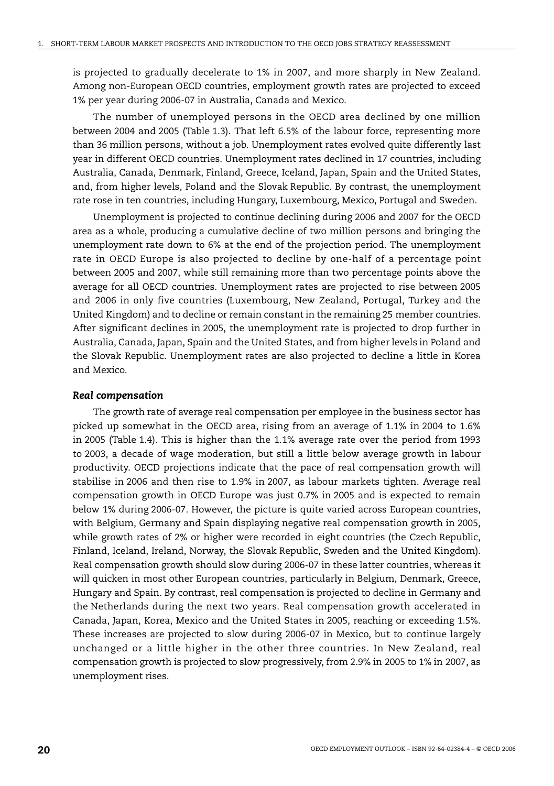is projected to gradually decelerate to 1% in 2007, and more sharply in New Zealand. Among non-European OECD countries, employment growth rates are projected to exceed 1% per year during 2006-07 in Australia, Canada and Mexico.

The number of unemployed persons in the OECD area declined by one million between 2004 and 2005 (Table 1.3). That left 6.5% of the labour force, representing more than 36 million persons, without a job. Unemployment rates evolved quite differently last year in different OECD countries. Unemployment rates declined in 17 countries, including Australia, Canada, Denmark, Finland, Greece, Iceland, Japan, Spain and the United States, and, from higher levels, Poland and the Slovak Republic. By contrast, the unemployment rate rose in ten countries, including Hungary, Luxembourg, Mexico, Portugal and Sweden.

Unemployment is projected to continue declining during 2006 and 2007 for the OECD area as a whole, producing a cumulative decline of two million persons and bringing the unemployment rate down to 6% at the end of the projection period. The unemployment rate in OECD Europe is also projected to decline by one-half of a percentage point between 2005 and 2007, while still remaining more than two percentage points above the average for all OECD countries. Unemployment rates are projected to rise between 2005 and 2006 in only five countries (Luxembourg, New Zealand, Portugal, Turkey and the United Kingdom) and to decline or remain constant in the remaining 25 member countries. After significant declines in 2005, the unemployment rate is projected to drop further in Australia, Canada, Japan, Spain and the United States, and from higher levels in Poland and the Slovak Republic. Unemployment rates are also projected to decline a little in Korea and Mexico.

### *Real compensation*

The growth rate of average real compensation per employee in the business sector has picked up somewhat in the OECD area, rising from an average of 1.1% in 2004 to 1.6% in 2005 (Table 1.4). This is higher than the 1.1% average rate over the period from 1993 to 2003, a decade of wage moderation, but still a little below average growth in labour productivity. OECD projections indicate that the pace of real compensation growth will stabilise in 2006 and then rise to 1.9% in 2007, as labour markets tighten. Average real compensation growth in OECD Europe was just 0.7% in 2005 and is expected to remain below 1% during 2006-07. However, the picture is quite varied across European countries, with Belgium, Germany and Spain displaying negative real compensation growth in 2005, while growth rates of 2% or higher were recorded in eight countries (the Czech Republic, Finland, Iceland, Ireland, Norway, the Slovak Republic, Sweden and the United Kingdom). Real compensation growth should slow during 2006-07 in these latter countries, whereas it will quicken in most other European countries, particularly in Belgium, Denmark, Greece, Hungary and Spain. By contrast, real compensation is projected to decline in Germany and the Netherlands during the next two years. Real compensation growth accelerated in Canada, Japan, Korea, Mexico and the United States in 2005, reaching or exceeding 1.5%. These increases are projected to slow during 2006-07 in Mexico, but to continue largely unchanged or a little higher in the other three countries. In New Zealand, real compensation growth is projected to slow progressively, from 2.9% in 2005 to 1% in 2007, as unemployment rises.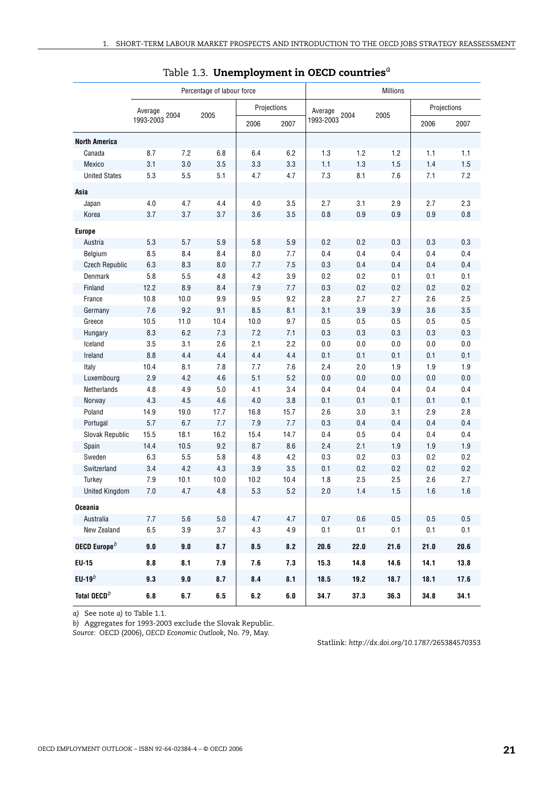|                          | Percentage of labour force   |      |      |      | <b>Millions</b> |                              |      |      |      |             |  |
|--------------------------|------------------------------|------|------|------|-----------------|------------------------------|------|------|------|-------------|--|
|                          | Average<br>2004<br>1993-2003 |      |      |      | Projections     |                              |      |      |      | Projections |  |
|                          |                              |      | 2005 | 2006 | 2007            | Average<br>2004<br>1993-2003 |      | 2005 | 2006 | 2007        |  |
| <b>North America</b>     |                              |      |      |      |                 |                              |      |      |      |             |  |
| Canada                   | 8.7                          | 7.2  | 6.8  | 6.4  | 6.2             | 1.3                          | 1.2  | 1.2  | 1.1  | 1.1         |  |
| Mexico                   | 3.1                          | 3.0  | 3.5  | 3.3  | 3.3             | 1.1                          | 1.3  | 1.5  | 1.4  | 1.5         |  |
| <b>United States</b>     | 5.3                          | 5.5  | 5.1  | 4.7  | 4.7             | 7.3                          | 8.1  | 7.6  | 7.1  | 7.2         |  |
| Asia                     |                              |      |      |      |                 |                              |      |      |      |             |  |
| Japan                    | 4.0                          | 4.7  | 4.4  | 4.0  | 3.5             | 2.7                          | 3.1  | 2.9  | 2.7  | 2.3         |  |
| Korea                    | 3.7                          | 3.7  | 3.7  | 3.6  | 3.5             | 0.8                          | 0.9  | 0.9  | 0.9  | 0.8         |  |
| <b>Europe</b>            |                              |      |      |      |                 |                              |      |      |      |             |  |
| Austria                  | 5.3                          | 5.7  | 5.9  | 5.8  | 5.9             | 0.2                          | 0.2  | 0.3  | 0.3  | 0.3         |  |
| Belgium                  | 8.5                          | 8.4  | 8.4  | 8.0  | 7.7             | 0.4                          | 0.4  | 0.4  | 0.4  | 0.4         |  |
| <b>Czech Republic</b>    | 6.3                          | 8.3  | 8.0  | 7.7  | 7.5             | 0.3                          | 0.4  | 0.4  | 0.4  | 0.4         |  |
| Denmark                  | 5.8                          | 5.5  | 4.8  | 4.2  | 3.9             | 0.2                          | 0.2  | 0.1  | 0.1  | 0.1         |  |
| Finland                  | 12.2                         | 8.9  | 8.4  | 7.9  | 7.7             | 0.3                          | 0.2  | 0.2  | 0.2  | 0.2         |  |
| France                   | 10.8                         | 10.0 | 9.9  | 9.5  | 9.2             | 2.8                          | 2.7  | 2.7  | 2.6  | 2.5         |  |
| Germany                  | 7.6                          | 9.2  | 9.1  | 8.5  | 8.1             | 3.1                          | 3.9  | 3.9  | 3.6  | 3.5         |  |
| Greece                   | 10.5                         | 11.0 | 10.4 | 10.0 | 9.7             | 0.5                          | 0.5  | 0.5  | 0.5  | 0.5         |  |
| Hungary                  | 8.3                          | 6.2  | 7.3  | 7.2  | 7.1             | 0.3                          | 0.3  | 0.3  | 0.3  | 0.3         |  |
| Iceland                  | 3.5                          | 3.1  | 2.6  | 2.1  | 2.2             | 0.0                          | 0.0  | 0.0  | 0.0  | 0.0         |  |
| Ireland                  | 8.8                          | 4.4  | 4.4  | 4.4  | 4.4             | 0.1                          | 0.1  | 0.1  | 0.1  | 0.1         |  |
| Italy                    | 10.4                         | 8.1  | 7.8  | 7.7  | 7.6             | 2.4                          | 2.0  | 1.9  | 1.9  | 1.9         |  |
| Luxembourg               | 2.9                          | 4.2  | 4.6  | 5.1  | 5.2             | 0.0                          | 0.0  | 0.0  | 0.0  | 0.0         |  |
| Netherlands              | 4.8                          | 4.9  | 5.0  | 4.1  | 3.4             | 0.4                          | 0.4  | 0.4  | 0.4  | 0.4         |  |
| Norway                   | 4.3                          | 4.5  | 4.6  | 4.0  | 3.8             | 0.1                          | 0.1  | 0.1  | 0.1  | 0.1         |  |
| Poland                   | 14.9                         | 19.0 | 17.7 | 16.8 | 15.7            | 2.6                          | 3.0  | 3.1  | 2.9  | 2.8         |  |
| Portugal                 | 5.7                          | 6.7  | 7.7  | 7.9  | 7.7             | 0.3                          | 0.4  | 0.4  | 0.4  | 0.4         |  |
| Slovak Republic          | 15.5                         | 18.1 | 16.2 | 15.4 | 14.7            | 0.4                          | 0.5  | 0.4  | 0.4  | 0.4         |  |
| Spain                    | 14.4                         | 10.5 | 9.2  | 8.7  | 8.6             | 2.4                          | 2.1  | 1.9  | 1.9  | 1.9         |  |
| Sweden                   | 6.3                          | 5.5  | 5.8  | 4.8  | 4.2             | 0.3                          | 0.2  | 0.3  | 0.2  | 0.2         |  |
| Switzerland              | 3.4                          | 4.2  | 4.3  | 3.9  | 3.5             | 0.1                          | 0.2  | 0.2  | 0.2  | 0.2         |  |
| Turkey                   | 7.9                          | 10.1 | 10.0 | 10.2 | 10.4            | 1.8                          | 2.5  | 2.5  | 2.6  | 2.7         |  |
| <b>United Kingdom</b>    | 7.0                          | 4.7  | 4.8  | 5.3  | 5.2             | 2.0                          | 1.4  | 1.5  | 1.6  | 1.6         |  |
| Oceania                  |                              |      |      |      |                 |                              |      |      |      |             |  |
| Australia                | 7.7                          | 5.6  | 5.0  | 4.7  | 4.7             | 0.7                          | 0.6  | 0.5  | 0.5  | 0.5         |  |
| New Zealand              | 6.5                          | 3.9  | 3.7  | 4.3  | 4.9             | 0.1                          | 0.1  | 0.1  | 0.1  | 0.1         |  |
| OECD Europe <sup>b</sup> | 9.0                          | 9.0  | 8.7  | 8.5  | 8.2             | 20.6                         | 22.0 | 21.6 | 21.0 | 20.6        |  |
| <b>EU-15</b>             | 8.8                          | 8.1  | 7.9  | 7.6  | 7.3             | 15.3                         | 14.8 | 14.6 | 14.1 | 13.8        |  |
| EU-19 $b$                | 9.3                          | 9.0  | 8.7  | 8.4  | 8.1             | 18.5                         | 19.2 | 18.7 | 18.1 | 17.6        |  |
| Total OECD <sup>b</sup>  | 6.8                          | 6.7  | 6.5  | 6.2  | 6.0             | 34.7                         | 37.3 | 36.3 | 34.8 | 34.1        |  |

# Table 1.3. **Unemployment in OECD countries***<sup>a</sup>*

*a)* See note *a)* to Table 1.1.

*b)* Aggregates for 1993-2003 exclude the Slovak Republic.

*Source:* OECD (2006), *OECD Economic Outlook*, No. 79, May.

Statlink: *http://dx.doi.org/10.1787/*265384570353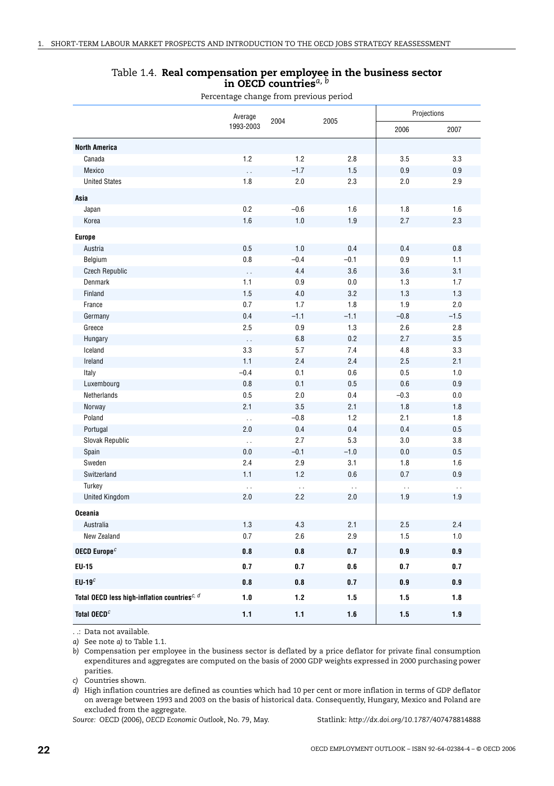|                                                    | Average                     |                  |                 | Projections                   |                      |  |
|----------------------------------------------------|-----------------------------|------------------|-----------------|-------------------------------|----------------------|--|
|                                                    | 1993-2003                   | 2004             | 2005            | 2006                          | 2007                 |  |
| <b>North America</b>                               |                             |                  |                 |                               |                      |  |
| Canada                                             | 1.2                         | 1.2              | 2.8             | 3.5                           | 3.3                  |  |
| Mexico                                             | $\ddot{\phantom{0}}$        | $-1.7$           | 1.5             | 0.9                           | 0.9                  |  |
| <b>United States</b>                               | 1.8                         | 2.0              | 2.3             | 2.0                           | 2.9                  |  |
| Asia                                               |                             |                  |                 |                               |                      |  |
| Japan                                              | 0.2                         | $-0.6$           | 1.6             | 1.8                           | 1.6                  |  |
| Korea                                              | 1.6                         | 1.0              | 1.9             | 2.7                           | 2.3                  |  |
| <b>Europe</b>                                      |                             |                  |                 |                               |                      |  |
| Austria                                            | 0.5                         | 1.0              | 0.4             | 0.4                           | 0.8                  |  |
| Belgium                                            | 0.8                         | $-0.4$           | $-0.1$          | 0.9                           | 1.1                  |  |
| <b>Czech Republic</b>                              | $\ddot{\phantom{0}}$        | 4.4              | 3.6             | 3.6                           | 3.1                  |  |
| Denmark                                            | 1.1                         | 0.9              | 0.0             | 1.3                           | 1.7                  |  |
| Finland                                            | 1.5                         | 4.0              | 3.2             | 1.3                           | 1.3                  |  |
| France                                             | 0.7                         | 1.7              | 1.8             | 1.9                           | 2.0                  |  |
| Germany                                            | 0.4                         | $-1.1$           | $-1.1$          | $-0.8$                        | $-1.5$               |  |
| Greece                                             | 2.5                         | 0.9              | 1.3             | 2.6                           | 2.8                  |  |
| Hungary                                            | $\ddot{\phantom{0}}$        | 6.8              | 0.2             | 2.7                           | 3.5                  |  |
| Iceland                                            | 3.3                         | 5.7              | 7.4             | 4.8                           | 3.3                  |  |
| Ireland                                            | 1.1                         | 2.4              | 2.4             | 2.5                           | 2.1                  |  |
| Italy                                              | $-0.4$                      | 0.1              | 0.6             | 0.5                           | 1.0                  |  |
| Luxembourg                                         | 0.8                         | 0.1              | 0.5             | 0.6                           | 0.9                  |  |
| Netherlands                                        | 0.5                         | 2.0              | 0.4             | $-0.3$                        | 0.0                  |  |
| Norway                                             | 2.1                         | 3.5              | 2.1             | 1.8                           | 1.8                  |  |
| Poland                                             | $\ddotsc$                   | $-0.8$           | 1.2             | 2.1                           | 1.8                  |  |
| Portugal                                           | 2.0                         | 0.4              | 0.4             | 0.4                           | $0.5\,$              |  |
| Slovak Republic                                    | $\ddot{\phantom{a}}$ .      | 2.7              | 5.3             | 3.0                           | 3.8                  |  |
| Spain<br>Sweden                                    | 0.0                         | $-0.1$           | $-1.0$          | 0.0                           | 0.5                  |  |
| Switzerland                                        | 2.4<br>1.1                  | 2.9<br>1.2       | 3.1<br>0.6      | 1.8<br>0.7                    | 1.6<br>0.9           |  |
| Turkey                                             |                             |                  |                 |                               |                      |  |
| <b>United Kingdom</b>                              | $\ddot{\phantom{a}}$<br>2.0 | $\ddotsc$<br>2.2 | $\sim$ .<br>2.0 | $\ddot{\phantom{1}}$ .<br>1.9 | $\bar{\nu}$ .<br>1.9 |  |
|                                                    |                             |                  |                 |                               |                      |  |
| <b>Oceania</b>                                     |                             |                  |                 |                               |                      |  |
| Australia<br>New Zealand                           | 1.3                         | 4.3              | 2.1<br>2.9      | 2.5                           | 2.4                  |  |
|                                                    | 0.7                         | 2.6              |                 | 1.5                           | 1.0                  |  |
| OECD Europe $c$                                    | 0.8                         | 0.8              | 0.7             | 0.9                           | 0.9                  |  |
| <b>EU-15</b>                                       | 0.7                         | 0.7              | 0.6             | 0.7                           | 0.7                  |  |
| EU-19 $c$                                          | 0.8                         | 0.8              | 0.7             | 0.9                           | 0.9                  |  |
| Total OECD less high-inflation countries $^{c, d}$ | 1.0                         | $1.2$            | 1.5             | 1.5                           | 1.8                  |  |
| Total OECD <sup>c</sup>                            | 1.1                         | 1.1              | 1.6             | 1.5                           | 1.9                  |  |

## Table 1.4. **Real compensation per employee in the business sector in OECD countries***a, b*

Percentage change from previous period

. .: Data not available.

*a)* See note *a)* to Table 1.1.

*b)* Compensation per employee in the business sector is deflated by a price deflator for private final consumption expenditures and aggregates are computed on the basis of 2000 GDP weights expressed in 2000 purchasing power parities.

*c)* Countries shown.

*d)* High inflation countries are defined as counties which had 10 per cent or more inflation in terms of GDP deflator on average between 1993 and 2003 on the basis of historical data. Consequently, Hungary, Mexico and Poland are excluded from the aggregate.

*Source:* OECD (2006), *OECD Economic Outlook*, No. 79, May. Statlink: *http://dx.doi.org/10.1787/*407478814888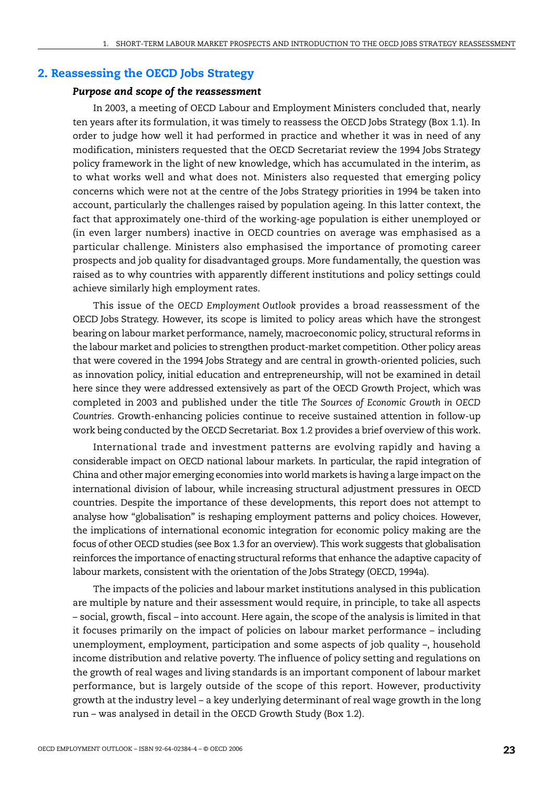# **2. Reassessing the OECD Jobs Strategy**

#### *Purpose and scope of the reassessment*

In 2003, a meeting of OECD Labour and Employment Ministers concluded that, nearly ten years after its formulation, it was timely to reassess the OECD Jobs Strategy (Box 1.1). In order to judge how well it had performed in practice and whether it was in need of any modification, ministers requested that the OECD Secretariat review the 1994 Jobs Strategy policy framework in the light of new knowledge, which has accumulated in the interim, as to what works well and what does not. Ministers also requested that emerging policy concerns which were not at the centre of the Jobs Strategy priorities in 1994 be taken into account, particularly the challenges raised by population ageing. In this latter context, the fact that approximately one-third of the working-age population is either unemployed or (in even larger numbers) inactive in OECD countries on average was emphasised as a particular challenge. Ministers also emphasised the importance of promoting career prospects and job quality for disadvantaged groups. More fundamentally, the question was raised as to why countries with apparently different institutions and policy settings could achieve similarly high employment rates.

This issue of the *OECD Employment Outlook* provides a broad reassessment of the OECD Jobs Strategy. However, its scope is limited to policy areas which have the strongest bearing on labour market performance, namely, macroeconomic policy, structural reforms in the labour market and policies to strengthen product-market competition. Other policy areas that were covered in the 1994 Jobs Strategy and are central in growth-oriented policies, such as innovation policy, initial education and entrepreneurship, will not be examined in detail here since they were addressed extensively as part of the OECD Growth Project, which was completed in 2003 and published under the title *The Sources of Economic Growth in OECD Countries*. Growth-enhancing policies continue to receive sustained attention in follow-up work being conducted by the OECD Secretariat. Box 1.2 provides a brief overview of this work.

International trade and investment patterns are evolving rapidly and having a considerable impact on OECD national labour markets. In particular, the rapid integration of China and other major emerging economies into world markets is having a large impact on the international division of labour, while increasing structural adjustment pressures in OECD countries. Despite the importance of these developments, this report does not attempt to analyse how "globalisation" is reshaping employment patterns and policy choices. However, the implications of international economic integration for economic policy making are the focus of other OECD studies (see Box 1.3 for an overview). This work suggests that globalisation reinforces the importance of enacting structural reforms that enhance the adaptive capacity of labour markets, consistent with the orientation of the Jobs Strategy (OECD, 1994a).

The impacts of the policies and labour market institutions analysed in this publication are multiple by nature and their assessment would require, in principle, to take all aspects – social, growth, fiscal – into account. Here again, the scope of the analysis is limited in that it focuses primarily on the impact of policies on labour market performance – including unemployment, employment, participation and some aspects of job quality –, household income distribution and relative poverty. The influence of policy setting and regulations on the growth of real wages and living standards is an important component of labour market performance, but is largely outside of the scope of this report. However, productivity growth at the industry level – a key underlying determinant of real wage growth in the long run – was analysed in detail in the OECD Growth Study (Box 1.2).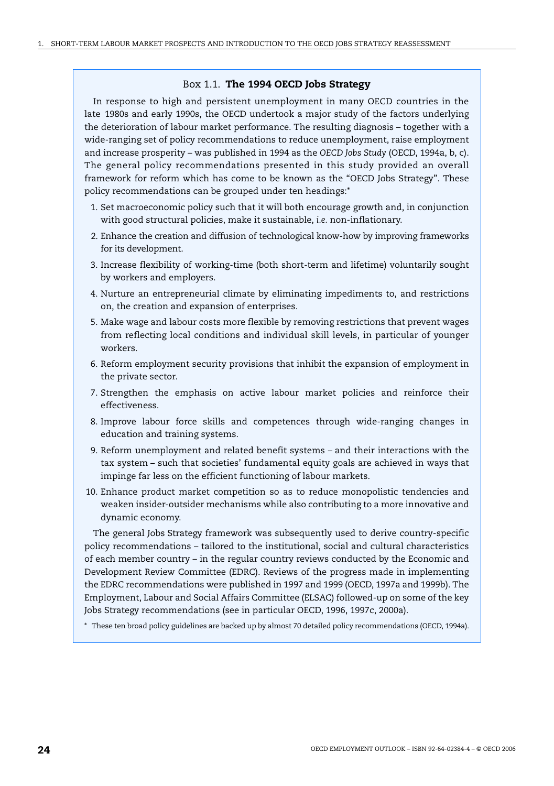#### Box 1.1. **The 1994 OECD Jobs Strategy**

In response to high and persistent unemployment in many OECD countries in the late 1980s and early 1990s, the OECD undertook a major study of the factors underlying the deterioration of labour market performance. The resulting diagnosis – together with a wide-ranging set of policy recommendations to reduce unemployment, raise employment and increase prosperity – was published in 1994 as the *OECD Jobs Study* (OECD, 1994a, b, c). The general policy recommendations presented in this study provided an overall framework for reform which has come to be known as the "OECD Jobs Strategy". These policy recommendations can be grouped under ten headings:\*

- 1. Set macroeconomic policy such that it will both encourage growth and, in conjunction with good structural policies, make it sustainable, *i.e.* non-inflationary.
- 2. Enhance the creation and diffusion of technological know-how by improving frameworks for its development.
- 3. Increase flexibility of working-time (both short-term and lifetime) voluntarily sought by workers and employers.
- 4. Nurture an entrepreneurial climate by eliminating impediments to, and restrictions on, the creation and expansion of enterprises.
- 5. Make wage and labour costs more flexible by removing restrictions that prevent wages from reflecting local conditions and individual skill levels, in particular of younger workers.
- 6. Reform employment security provisions that inhibit the expansion of employment in the private sector.
- 7. Strengthen the emphasis on active labour market policies and reinforce their effectiveness.
- 8. Improve labour force skills and competences through wide-ranging changes in education and training systems.
- 9. Reform unemployment and related benefit systems and their interactions with the tax system – such that societies' fundamental equity goals are achieved in ways that impinge far less on the efficient functioning of labour markets.
- 10. Enhance product market competition so as to reduce monopolistic tendencies and weaken insider-outsider mechanisms while also contributing to a more innovative and dynamic economy.

The general Jobs Strategy framework was subsequently used to derive country-specific policy recommendations – tailored to the institutional, social and cultural characteristics of each member country – in the regular country reviews conducted by the Economic and Development Review Committee (EDRC). Reviews of the progress made in implementing the EDRC recommendations were published in 1997 and 1999 (OECD, 1997a and 1999b). The Employment, Labour and Social Affairs Committee (ELSAC) followed-up on some of the key Jobs Strategy recommendations (see in particular OECD, 1996, 1997c, 2000a).

\* These ten broad policy guidelines are backed up by almost 70 detailed policy recommendations (OECD, 1994a).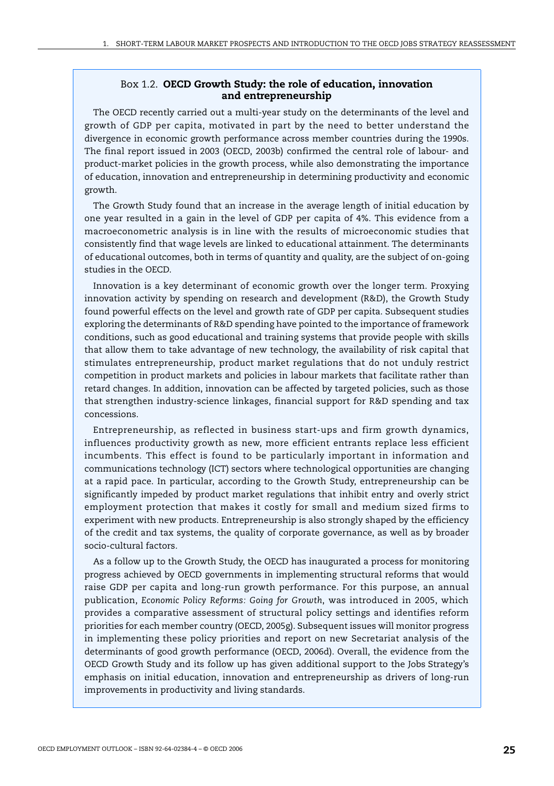# Box 1.2. **OECD Growth Study: the role of education, innovation and entrepreneurship**

The OECD recently carried out a multi-year study on the determinants of the level and growth of GDP per capita, motivated in part by the need to better understand the divergence in economic growth performance across member countries during the 1990s. The final report issued in 2003 (OECD, 2003b) confirmed the central role of labour- and product-market policies in the growth process, while also demonstrating the importance of education, innovation and entrepreneurship in determining productivity and economic growth.

The Growth Study found that an increase in the average length of initial education by one year resulted in a gain in the level of GDP per capita of 4%. This evidence from a macroeconometric analysis is in line with the results of microeconomic studies that consistently find that wage levels are linked to educational attainment. The determinants of educational outcomes, both in terms of quantity and quality, are the subject of on-going studies in the OECD.

Innovation is a key determinant of economic growth over the longer term. Proxying innovation activity by spending on research and development (R&D), the Growth Study found powerful effects on the level and growth rate of GDP per capita. Subsequent studies exploring the determinants of R&D spending have pointed to the importance of framework conditions, such as good educational and training systems that provide people with skills that allow them to take advantage of new technology, the availability of risk capital that stimulates entrepreneurship, product market regulations that do not unduly restrict competition in product markets and policies in labour markets that facilitate rather than retard changes. In addition, innovation can be affected by targeted policies, such as those that strengthen industry-science linkages, financial support for R&D spending and tax concessions.

Entrepreneurship, as reflected in business start-ups and firm growth dynamics, influences productivity growth as new, more efficient entrants replace less efficient incumbents. This effect is found to be particularly important in information and communications technology (ICT) sectors where technological opportunities are changing at a rapid pace. In particular, according to the Growth Study, entrepreneurship can be significantly impeded by product market regulations that inhibit entry and overly strict employment protection that makes it costly for small and medium sized firms to experiment with new products. Entrepreneurship is also strongly shaped by the efficiency of the credit and tax systems, the quality of corporate governance, as well as by broader socio-cultural factors.

As a follow up to the Growth Study, the OECD has inaugurated a process for monitoring progress achieved by OECD governments in implementing structural reforms that would raise GDP per capita and long-run growth performance. For this purpose, an annual publication, *Economic Policy Reforms: Going for Growth*, was introduced in 2005, which provides a comparative assessment of structural policy settings and identifies reform priorities for each member country (OECD, 2005g). Subsequent issues will monitor progress in implementing these policy priorities and report on new Secretariat analysis of the determinants of good growth performance (OECD, 2006d). Overall, the evidence from the OECD Growth Study and its follow up has given additional support to the Jobs Strategy's emphasis on initial education, innovation and entrepreneurship as drivers of long-run improvements in productivity and living standards.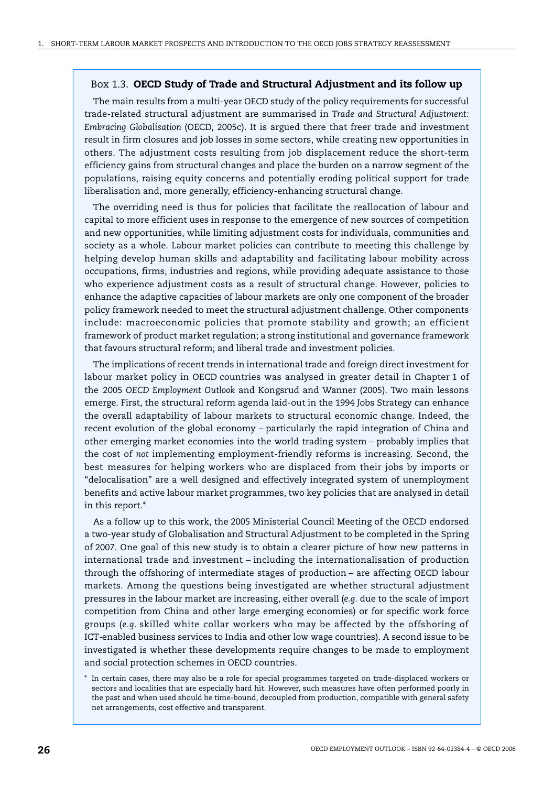# Box 1.3. **OECD Study of Trade and Structural Adjustment and its follow up**

The main results from a multi-year OECD study of the policy requirements for successful trade-related structural adjustment are summarised in *Trade and Structural Adjustment: Embracing Globalisation* (OECD, 2005c). It is argued there that freer trade and investment result in firm closures and job losses in some sectors, while creating new opportunities in others. The adjustment costs resulting from job displacement reduce the short-term efficiency gains from structural changes and place the burden on a narrow segment of the populations, raising equity concerns and potentially eroding political support for trade liberalisation and, more generally, efficiency-enhancing structural change.

The overriding need is thus for policies that facilitate the reallocation of labour and capital to more efficient uses in response to the emergence of new sources of competition and new opportunities, while limiting adjustment costs for individuals, communities and society as a whole. Labour market policies can contribute to meeting this challenge by helping develop human skills and adaptability and facilitating labour mobility across occupations, firms, industries and regions, while providing adequate assistance to those who experience adjustment costs as a result of structural change. However, policies to enhance the adaptive capacities of labour markets are only one component of the broader policy framework needed to meet the structural adjustment challenge. Other components include: macroeconomic policies that promote stability and growth; an efficient framework of product market regulation; a strong institutional and governance framework that favours structural reform; and liberal trade and investment policies.

The implications of recent trends in international trade and foreign direct investment for labour market policy in OECD countries was analysed in greater detail in Chapter 1 of the 2005 *OECD Employment Outlook* and Kongsrud and Wanner (2005). Two main lessons emerge. First, the structural reform agenda laid-out in the 1994 Jobs Strategy can enhance the overall adaptability of labour markets to structural economic change. Indeed, the recent evolution of the global economy – particularly the rapid integration of China and other emerging market economies into the world trading system – probably implies that the cost of *not* implementing employment-friendly reforms is increasing. Second, the best measures for helping workers who are displaced from their jobs by imports or "delocalisation" are a well designed and effectively integrated system of unemployment benefits and active labour market programmes, two key policies that are analysed in detail in this report.\*

As a follow up to this work, the 2005 Ministerial Council Meeting of the OECD endorsed a two-year study of Globalisation and Structural Adjustment to be completed in the Spring of 2007. One goal of this new study is to obtain a clearer picture of how new patterns in international trade and investment – including the internationalisation of production through the offshoring of intermediate stages of production – are affecting OECD labour markets. Among the questions being investigated are whether structural adjustment pressures in the labour market are increasing, either overall (*e.g.* due to the scale of import competition from China and other large emerging economies) or for specific work force groups (*e.g.* skilled white collar workers who may be affected by the offshoring of ICT-enabled business services to India and other low wage countries). A second issue to be investigated is whether these developments require changes to be made to employment and social protection schemes in OECD countries.

<sup>\*</sup> In certain cases, there may also be a role for special programmes targeted on trade-displaced workers or sectors and localities that are especially hard hit. However, such measures have often performed poorly in the past and when used should be time-bound, decoupled from production, compatible with general safety net arrangements, cost effective and transparent.